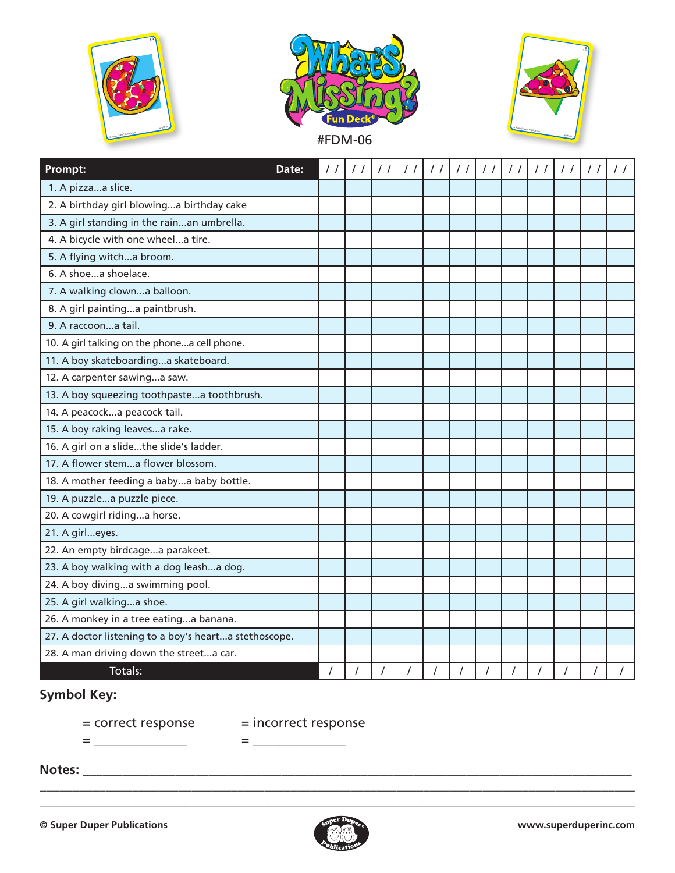





| Prompt:                                               | Date: | $\frac{1}{2}$ | $\frac{1}{2}$ |  | 1 | $\frac{1}{2}$ | $\frac{1}{2}$ | 11 | $\frac{1}{2}$ | $\frac{1}{2}$ | 11       | $\frac{1}{2}$ | $\frac{1}{2}$ |
|-------------------------------------------------------|-------|---------------|---------------|--|---|---------------|---------------|----|---------------|---------------|----------|---------------|---------------|
| 1. A pizzaa slice.                                    |       |               |               |  |   |               |               |    |               |               |          |               |               |
| 2. A birthday girl blowinga birthday cake             |       |               |               |  |   |               |               |    |               |               |          |               |               |
| 3. A girl standing in the rainan umbrella.            |       |               |               |  |   |               |               |    |               |               |          |               |               |
| 4. A bicycle with one wheela tire.                    |       |               |               |  |   |               |               |    |               |               |          |               |               |
| 5. A flying witcha broom.                             |       |               |               |  |   |               |               |    |               |               |          |               |               |
| 6. A shoea shoelace.                                  |       |               |               |  |   |               |               |    |               |               |          |               |               |
| 7. A walking clowna balloon.                          |       |               |               |  |   |               |               |    |               |               |          |               |               |
| 8. A girl paintinga paintbrush.                       |       |               |               |  |   |               |               |    |               |               |          |               |               |
| 9. A raccoona tail.                                   |       |               |               |  |   |               |               |    |               |               |          |               |               |
| 10. A girl talking on the phonea cell phone.          |       |               |               |  |   |               |               |    |               |               |          |               |               |
| 11. A boy skateboardinga skateboard.                  |       |               |               |  |   |               |               |    |               |               |          |               |               |
| 12. A carpenter sawinga saw.                          |       |               |               |  |   |               |               |    |               |               |          |               |               |
| 13. A boy squeezing toothpastea toothbrush.           |       |               |               |  |   |               |               |    |               |               |          |               |               |
| 14. A peacocka peacock tail.                          |       |               |               |  |   |               |               |    |               |               |          |               |               |
| 15. A boy raking leavesa rake.                        |       |               |               |  |   |               |               |    |               |               |          |               |               |
| 16. A girl on a slidethe slide's ladder.              |       |               |               |  |   |               |               |    |               |               |          |               |               |
| 17. A flower stema flower blossom.                    |       |               |               |  |   |               |               |    |               |               |          |               |               |
| 18. A mother feeding a babya baby bottle.             |       |               |               |  |   |               |               |    |               |               |          |               |               |
| 19. A puzzlea puzzle piece.                           |       |               |               |  |   |               |               |    |               |               |          |               |               |
| 20. A cowgirl ridinga horse.                          |       |               |               |  |   |               |               |    |               |               |          |               |               |
| 21. A girleyes.                                       |       |               |               |  |   |               |               |    |               |               |          |               |               |
| 22. An empty birdcagea parakeet.                      |       |               |               |  |   |               |               |    |               |               |          |               |               |
| 23. A boy walking with a dog leasha dog.              |       |               |               |  |   |               |               |    |               |               |          |               |               |
| 24. A boy divinga swimming pool.                      |       |               |               |  |   |               |               |    |               |               |          |               |               |
| 25. A girl walkinga shoe.                             |       |               |               |  |   |               |               |    |               |               |          |               |               |
| 26. A monkey in a tree eatinga banana.                |       |               |               |  |   |               |               |    |               |               |          |               |               |
| 27. A doctor listening to a boy's hearta stethoscope. |       |               |               |  |   |               |               |    |               |               |          |               |               |
| 28. A man driving down the streeta car.               |       |               |               |  |   |               |               |    |               |               |          |               |               |
| Totals:                                               |       |               |               |  |   |               |               |    |               |               | $\prime$ |               |               |

**Symbol Key:**

= correct response = incorrect response

= \_\_\_\_\_\_\_\_\_\_\_\_\_\_ = \_\_\_\_\_\_\_\_\_\_\_\_\_\_

**Notes:** \_\_\_\_\_\_\_\_\_\_\_\_\_\_\_\_\_\_\_\_\_\_\_\_\_\_\_\_\_\_\_\_\_\_\_\_\_\_\_\_\_\_\_\_\_\_\_\_\_\_\_\_\_\_\_\_\_\_\_\_\_\_\_\_\_\_\_\_\_\_\_\_\_\_\_\_\_\_\_\_\_\_\_



\_\_\_\_\_\_\_\_\_\_\_\_\_\_\_\_\_\_\_\_\_\_\_\_\_\_\_\_\_\_\_\_\_\_\_\_\_\_\_\_\_\_\_\_\_\_\_\_\_\_\_\_\_\_\_\_\_\_\_\_\_\_\_\_\_\_\_\_\_\_\_\_\_\_\_\_\_\_\_\_\_\_\_\_\_\_\_\_\_\_ \_\_\_\_\_\_\_\_\_\_\_\_\_\_\_\_\_\_\_\_\_\_\_\_\_\_\_\_\_\_\_\_\_\_\_\_\_\_\_\_\_\_\_\_\_\_\_\_\_\_\_\_\_\_\_\_\_\_\_\_\_\_\_\_\_\_\_\_\_\_\_\_\_\_\_\_\_\_\_\_\_\_\_\_\_\_\_\_\_\_